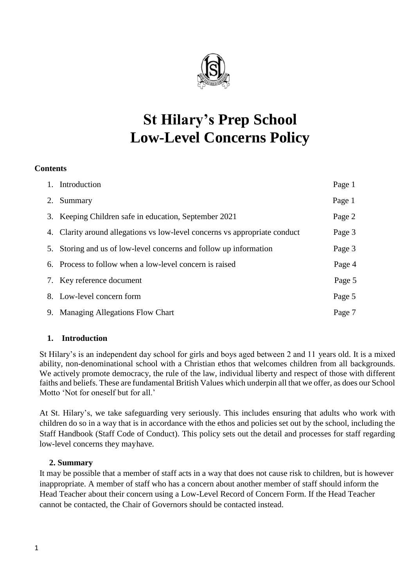

# **St Hilary's Prep School Low-Level Concerns Policy**

### **Contents**

|    | 1. Introduction                                                            | Page 1 |
|----|----------------------------------------------------------------------------|--------|
| 2. | Summary                                                                    | Page 1 |
|    | 3. Keeping Children safe in education, September 2021                      | Page 2 |
|    | 4. Clarity around allegations vs low-level concerns vs appropriate conduct | Page 3 |
|    | 5. Storing and us of low-level concerns and follow up information          | Page 3 |
|    | 6. Process to follow when a low-level concern is raised                    | Page 4 |
|    | 7. Key reference document                                                  | Page 5 |
|    | 8. Low-level concern form                                                  | Page 5 |
|    | 9. Managing Allegations Flow Chart                                         | Page 7 |

### **1. Introduction**

St Hilary's is an independent day school for girls and boys aged between 2 and 11 years old. It is a mixed ability, non-denominational school with a Christian ethos that welcomes children from all backgrounds. We actively promote democracy, the rule of the law, individual liberty and respect of those with different faiths and beliefs. These are fundamental British Values which underpin all that we offer, as does our School Motto 'Not for oneself but for all.'

At St. Hilary's, we take safeguarding very seriously. This includes ensuring that adults who work with children do so in a way that is in accordance with the ethos and policies set out by the school, including the Staff Handbook (Staff Code of Conduct). This policy sets out the detail and processes for staff regarding low-level concerns they mayhave.

### **2. Summary**

It may be possible that a member of staff acts in a way that does not cause risk to children, but is however inappropriate. A member of staff who has a concern about another member of staff should inform the Head Teacher about their concern using a Low-Level Record of Concern Form. If the Head Teacher cannot be contacted, the Chair of Governors should be contacted instead.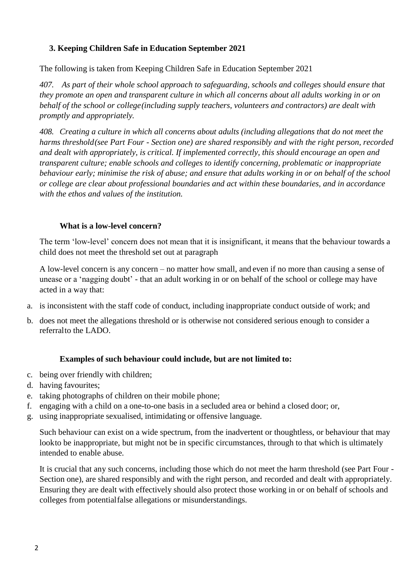### **3. Keeping Children Safe in Education September 2021**

The following is taken from Keeping Children Safe in Education September 2021

*407. As part of their whole school approach to safeguarding, schools and colleges should ensure that they promote an open and transparent culture in which all concerns about all adults working in or on behalf of the school or college(including supply teachers, volunteers and contractors) are dealt with promptly and appropriately.*

*408. Creating a culture in which all concerns about adults (including allegations that do not meet the harms threshold(see Part Four - Section one) are shared responsibly and with the right person, recorded and dealt with appropriately, is critical. If implemented correctly, this should encourage an open and transparent culture; enable schools and colleges to identify concerning, problematic or inappropriate behaviour early; minimise the risk of abuse; and ensure that adults working in or on behalf of the school or college are clear about professional boundaries and act within these boundaries, and in accordance with the ethos and values of the institution.*

### **What is a low-level concern?**

The term 'low-level' concern does not mean that it is insignificant, it means that the behaviour towards a child does not meet the threshold set out at paragraph

A low-level concern is any concern – no matter how small, and even if no more than causing a sense of unease or a 'nagging doubt' - that an adult working in or on behalf of the school or college may have acted in a way that:

- a. is inconsistent with the staff code of conduct, including inappropriate conduct outside of work; and
- b. does not meet the allegations threshold or is otherwise not considered serious enough to consider a referralto the LADO.

### **Examples of such behaviour could include, but are not limited to:**

- c. being over friendly with children;
- d. having favourites;
- e. taking photographs of children on their mobile phone;
- f. engaging with a child on a one-to-one basis in a secluded area or behind a closed door; or,
- g. using inappropriate sexualised, intimidating or offensive language.

Such behaviour can exist on a wide spectrum, from the inadvertent or thoughtless, or behaviour that may lookto be inappropriate, but might not be in specific circumstances, through to that which is ultimately intended to enable abuse.

It is crucial that any such concerns, including those which do not meet the harm threshold (see Part Four - Section one), are shared responsibly and with the right person, and recorded and dealt with appropriately. Ensuring they are dealt with effectively should also protect those working in or on behalf of schools and colleges from potentialfalse allegations or misunderstandings.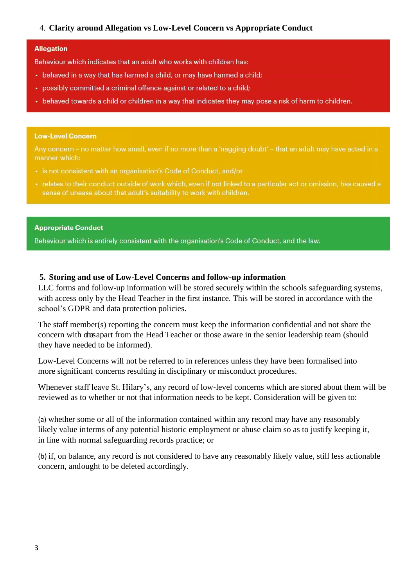### 4. **Clarity around Allegation vs Low-Level Concern vs Appropriate Conduct**

#### **Allegation**

Behaviour which indicates that an adult who works with children has:

- behaved in a way that has harmed a child, or may have harmed a child;
- possibly committed a criminal offence against or related to a child;
- behaved towards a child or children in a way that indicates they may pose a risk of harm to children.

#### **Low-Level Concern**

Any concern - no matter how small, even if no more than a 'nagging doubt' - that an adult may have acted in a manner which:

- · is not consistent with an organisation's Code of Conduct, and/or
- relates to their conduct outside of work which, even if not linked to a particular act or omission, has caused a sense of unease about that adult's suitability to work with children.

#### **Appropriate Conduct**

Behaviour which is entirely consistent with the organisation's Code of Conduct, and the law.

### **5. Storing and use of Low-Level Concerns and follow-up information**

LLC forms and follow-up information will be stored securely within the schools safeguarding systems, with access only by the Head Teacher in the first instance. This will be stored in accordance with the school's GDPR and data protection policies.

The staff member(s) reporting the concern must keep the information confidential and not share the concern with dusapart from the Head Teacher or those aware in the senior leadership team (should they have needed to be informed).

Low-Level Concerns will not be referred to in references unless they have been formalised into more significant concerns resulting in disciplinary or misconduct procedures.

Whenever staff leave St. Hilary's, any record of low-level concerns which are stored about them will be reviewed as to whether or not that information needs to be kept. Consideration will be given to:

(a) whether some or all of the information contained within any record may have any reasonably likely value interms of any potential historic employment or abuse claim so as to justify keeping it, in line with normal safeguarding records practice; or

(b) if, on balance, any record is not considered to have any reasonably likely value, still less actionable concern, andought to be deleted accordingly.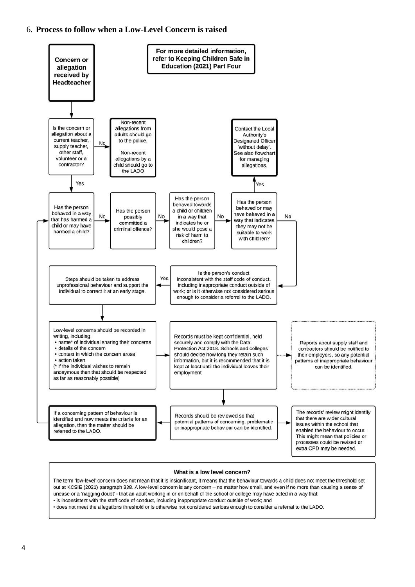#### 6. **Process to follow when a Low-Level Concern is raised**



#### What is a low level concern?

The term 'low-level' concern does not mean that it is insignificant, it means that the behaviour towards a child does not meet the threshold set out at KCSIE (2021) paragraph 338. A low-level concern is any concern - no matter how small, and even if no more than causing a sense of unease or a 'nagging doubt' - that an adult working in or on behalf of the school or college may have acted in a way that: · is inconsistent with the staff code of conduct, including inappropriate conduct outside of work; and

· does not meet the allegations threshold or is otherwise not considered serious enough to consider a referral to the LADO.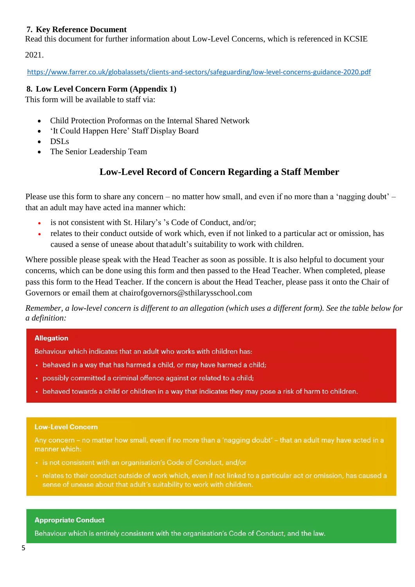### **7. Key Reference Document**

Read this document for further information about Low-Level Concerns, which is referenced in KCSIE

2021.

<https://www.farrer.co.uk/globalassets/clients-and-sectors/safeguarding/low-level-concerns-guidance-2020.pdf>

### **8. Low Level Concern Form (Appendix 1)**

This form will be available to staff via:

- Child Protection Proformas on the Internal Shared Network
- 'It Could Happen Here' Staff Display Board
- DSLs
- The Senior Leadership Team

# **Low-Level Record of Concern Regarding a Staff Member**

Please use this form to share any concern – no matter how small, and even if no more than a 'nagging doubt' – that an adult may have acted ina manner which:

- is not consistent with St. Hilary's 's Code of Conduct, and/or;
- relates to their conduct outside of work which, even if not linked to a particular act or omission, has caused a sense of unease about thatadult's suitability to work with children.

Where possible please speak with the Head Teacher as soon as possible. It is also helpful to document your concerns, which can be done using this form and then passed to the Head Teacher. When completed, please pass this form to the Head Teacher. If the concern is about the Head Teacher, please pass it onto the Chair of Governors or email them at chairofgovernors@sthilarysschool.com

Remember, a low-level concern is different to an allegation (which uses a different form). See the table below for *a definition:*

### **Allegation**

Behaviour which indicates that an adult who works with children has:

- behaved in a way that has harmed a child, or may have harmed a child;
- possibly committed a criminal offence against or related to a child;
- behaved towards a child or children in a way that indicates they may pose a risk of harm to children.

### **Low-Level Concern**

Any concern - no matter how small, even if no more than a 'nagging doubt' - that an adult may have acted in a manner which:

- · is not consistent with an organisation's Code of Conduct, and/or
- relates to their conduct outside of work which, even if not linked to a particular act or omission, has caused a sense of unease about that adult's suitability to work with children.

### **Appropriate Conduct**

Behaviour which is entirely consistent with the organisation's Code of Conduct, and the law.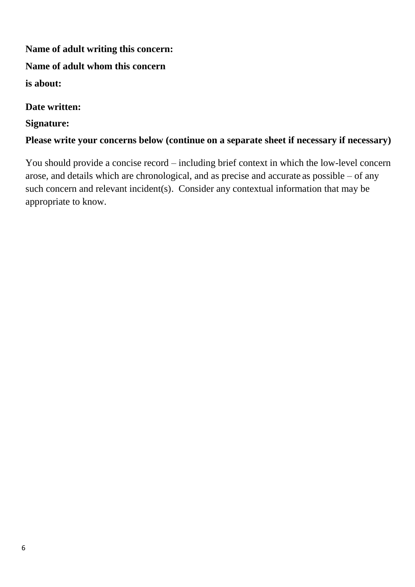**Name of adult writing this concern: Name of adult whom this concern is about:**

**Date written:**

# **Signature:**

# **Please write your concerns below (continue on a separate sheet if necessary if necessary)**

You should provide a concise record – including brief context in which the low-level concern arose, and details which are chronological, and as precise and accurate as possible – of any such concern and relevant incident(s). Consider any contextual information that may be appropriate to know.